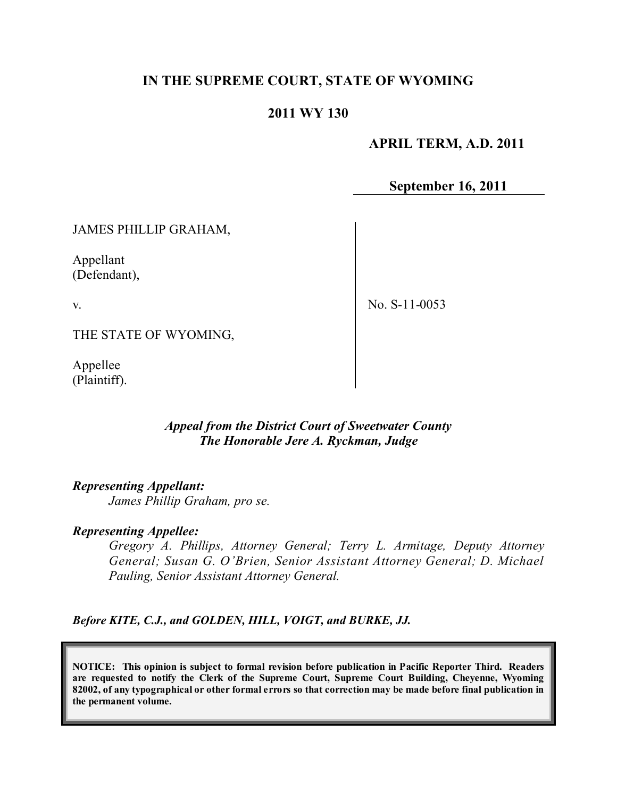# **IN THE SUPREME COURT, STATE OF WYOMING**

### **2011 WY 130**

#### **APRIL TERM, A.D. 2011**

**September 16, 2011**

JAMES PHILLIP GRAHAM,

Appellant (Defendant),

v.

No. S-11-0053

THE STATE OF WYOMING,

Appellee (Plaintiff).

#### *Appeal from the District Court of Sweetwater County The Honorable Jere A. Ryckman, Judge*

*Representing Appellant:*

*James Phillip Graham, pro se.*

#### *Representing Appellee:*

*Gregory A. Phillips, Attorney General; Terry L. Armitage, Deputy Attorney General; Susan G. O'Brien, Senior Assistant Attorney General; D. Michael Pauling, Senior Assistant Attorney General.*

*Before KITE, C.J., and GOLDEN, HILL, VOIGT, and BURKE, JJ.*

**NOTICE: This opinion is subject to formal revision before publication in Pacific Reporter Third. Readers are requested to notify the Clerk of the Supreme Court, Supreme Court Building, Cheyenne, Wyoming** 82002, of any typographical or other formal errors so that correction may be made before final publication in **the permanent volume.**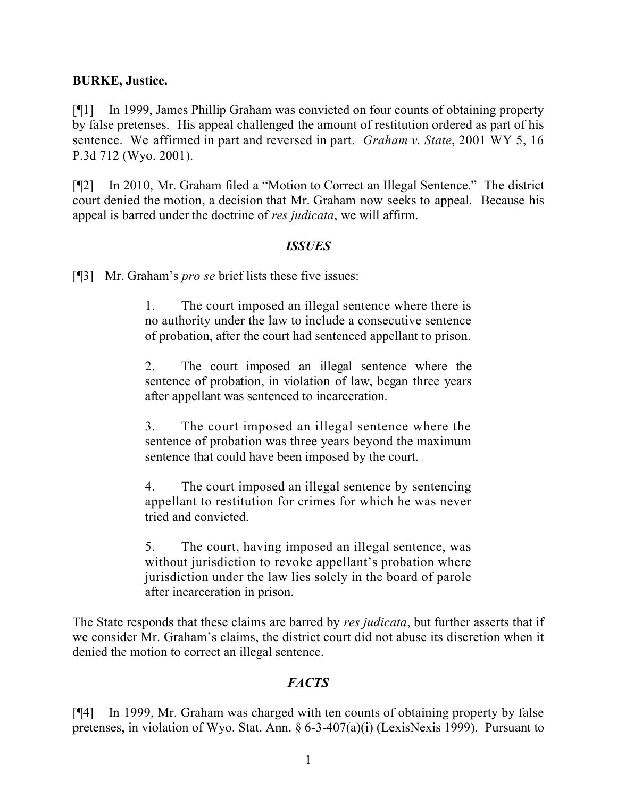### **BURKE, Justice.**

[¶1] In 1999, James Phillip Graham was convicted on four counts of obtaining property by false pretenses. His appeal challenged the amount of restitution ordered as part of his sentence. We affirmed in part and reversed in part. *Graham v. State*, 2001 WY 5, 16 P.3d 712 (Wyo. 2001).

[¶2] In 2010, Mr. Graham filed a "Motion to Correct an Illegal Sentence." The district court denied the motion, a decision that Mr. Graham now seeks to appeal. Because his appeal is barred under the doctrine of *res judicata*, we will affirm.

#### *ISSUES*

[¶3] Mr. Graham's *pro se* brief lists these five issues:

1. The court imposed an illegal sentence where there is no authority under the law to include a consecutive sentence of probation, after the court had sentenced appellant to prison.

2. The court imposed an illegal sentence where the sentence of probation, in violation of law, began three years after appellant was sentenced to incarceration.

3. The court imposed an illegal sentence where the sentence of probation was three years beyond the maximum sentence that could have been imposed by the court.

4. The court imposed an illegal sentence by sentencing appellant to restitution for crimes for which he was never tried and convicted.

5. The court, having imposed an illegal sentence, was without jurisdiction to revoke appellant's probation where jurisdiction under the law lies solely in the board of parole after incarceration in prison.

The State responds that these claims are barred by *res judicata*, but further asserts that if we consider Mr. Graham's claims, the district court did not abuse its discretion when it denied the motion to correct an illegal sentence.

# *FACTS*

[¶4] In 1999, Mr. Graham was charged with ten counts of obtaining property by false pretenses, in violation of Wyo. Stat. Ann. § 6-3-407(a)(i) (LexisNexis 1999). Pursuant to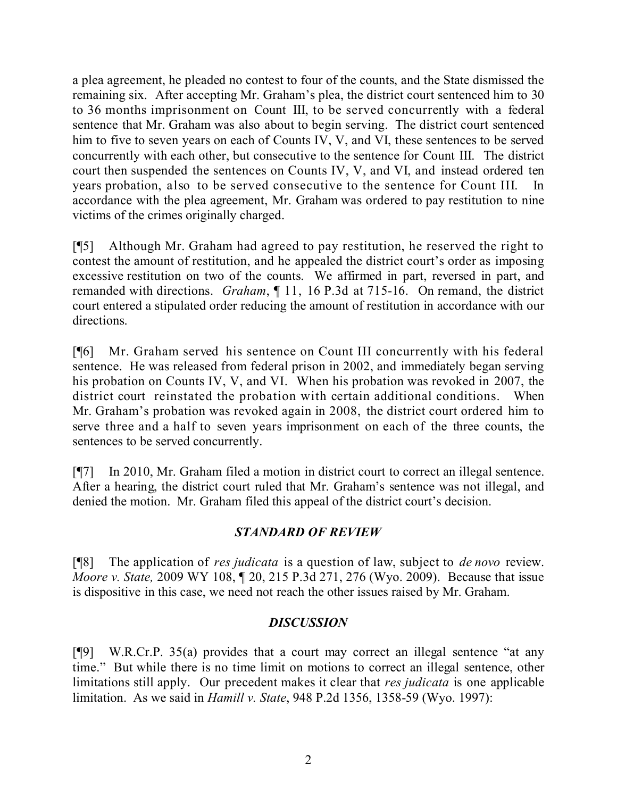a plea agreement, he pleaded no contest to four of the counts, and the State dismissed the remaining six. After accepting Mr. Graham's plea, the district court sentenced him to 30 to 36 months imprisonment on Count III, to be served concurrently with a federal sentence that Mr. Graham was also about to begin serving. The district court sentenced him to five to seven years on each of Counts IV, V, and VI, these sentences to be served concurrently with each other, but consecutive to the sentence for Count III. The district court then suspended the sentences on Counts IV, V, and VI, and instead ordered ten years probation, also to be served consecutive to the sentence for Count III. In accordance with the plea agreement, Mr. Graham was ordered to pay restitution to nine victims of the crimes originally charged.

[¶5] Although Mr. Graham had agreed to pay restitution, he reserved the right to contest the amount of restitution, and he appealed the district court's order as imposing excessive restitution on two of the counts. We affirmed in part, reversed in part, and remanded with directions. *Graham*, ¶ 11, 16 P.3d at 715-16. On remand, the district court entered a stipulated order reducing the amount of restitution in accordance with our directions.

[¶6] Mr. Graham served his sentence on Count III concurrently with his federal sentence. He was released from federal prison in 2002, and immediately began serving his probation on Counts IV, V, and VI. When his probation was revoked in 2007, the district court reinstated the probation with certain additional conditions. When Mr. Graham's probation was revoked again in 2008, the district court ordered him to serve three and a half to seven years imprisonment on each of the three counts, the sentences to be served concurrently.

[¶7] In 2010, Mr. Graham filed a motion in district court to correct an illegal sentence. After a hearing, the district court ruled that Mr. Graham's sentence was not illegal, and denied the motion. Mr. Graham filed this appeal of the district court's decision.

# *STANDARD OF REVIEW*

[¶8] The application of *res judicata* is a question of law, subject to *de novo* review. *Moore v. State,* 2009 WY 108, ¶ 20, 215 P.3d 271, 276 (Wyo. 2009). Because that issue is dispositive in this case, we need not reach the other issues raised by Mr. Graham.

# *DISCUSSION*

[¶9] W.R.Cr.P. 35(a) provides that a court may correct an illegal sentence "at any time." But while there is no time limit on motions to correct an illegal sentence, other limitations still apply. Our precedent makes it clear that *res judicata* is one applicable limitation. As we said in *Hamill v. State*, 948 P.2d 1356, 1358-59 (Wyo. 1997):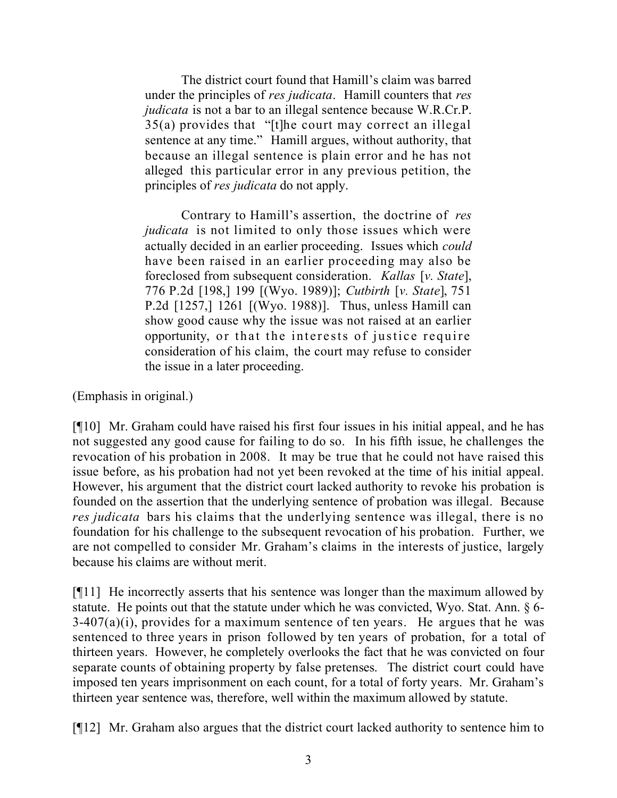The district court found that Hamill's claim was barred under the principles of *res judicata*. Hamill counters that *res judicata* is not a bar to an illegal sentence because W.R.Cr.P. 35(a) provides that "[t]he court may correct an illegal sentence at any time." Hamill argues, without authority, that because an illegal sentence is plain error and he has not alleged this particular error in any previous petition, the principles of *res judicata* do not apply.

Contrary to Hamill's assertion, the doctrine of *res judicata* is not limited to only those issues which were actually decided in an earlier proceeding. Issues which *could* have been raised in an earlier proceeding may also be foreclosed from subsequent consideration. *Kallas* [*v. State*], 776 P.2d [198,] 199 [(Wyo. 1989)]; *Cutbirth* [*v. State*], 751 P.2d [1257,] 1261 [(Wyo. 1988)]. Thus, unless Hamill can show good cause why the issue was not raised at an earlier opportunity, or that the interests of justice require consideration of his claim, the court may refuse to consider the issue in a later proceeding.

(Emphasis in original.)

[¶10] Mr. Graham could have raised his first four issues in his initial appeal, and he has not suggested any good cause for failing to do so. In his fifth issue, he challenges the revocation of his probation in 2008. It may be true that he could not have raised this issue before, as his probation had not yet been revoked at the time of his initial appeal. However, his argument that the district court lacked authority to revoke his probation is founded on the assertion that the underlying sentence of probation was illegal. Because *res judicata* bars his claims that the underlying sentence was illegal, there is no foundation for his challenge to the subsequent revocation of his probation. Further, we are not compelled to consider Mr. Graham's claims in the interests of justice, largely because his claims are without merit.

[¶11] He incorrectly asserts that his sentence was longer than the maximum allowed by statute. He points out that the statute under which he was convicted, Wyo. Stat. Ann. § 6-  $3-407(a)(i)$ , provides for a maximum sentence of ten years. He argues that he was sentenced to three years in prison followed by ten years of probation, for a total of thirteen years. However, he completely overlooks the fact that he was convicted on four separate counts of obtaining property by false pretenses. The district court could have imposed ten years imprisonment on each count, for a total of forty years. Mr. Graham's thirteen year sentence was, therefore, well within the maximum allowed by statute.

[¶12] Mr. Graham also argues that the district court lacked authority to sentence him to